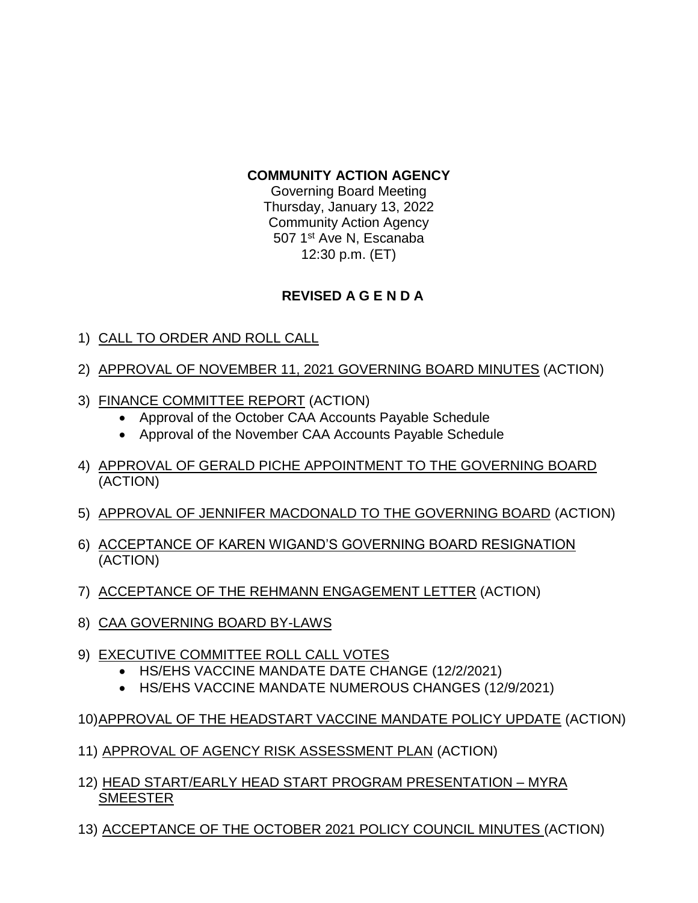## **COMMUNITY ACTION AGENCY**

Governing Board Meeting Thursday, January 13, 2022 Community Action Agency 507 1<sup>st</sup> Ave N, Escanaba 12:30 p.m. (ET)

## **REVISED A G E N D A**

- 1) CALL TO ORDER AND ROLL CALL
- 2) APPROVAL OF NOVEMBER 11, 2021 GOVERNING BOARD MINUTES (ACTION)
- 3) FINANCE COMMITTEE REPORT (ACTION)
	- Approval of the October CAA Accounts Payable Schedule
	- Approval of the November CAA Accounts Payable Schedule
- 4) APPROVAL OF GERALD PICHE APPOINTMENT TO THE GOVERNING BOARD (ACTION)
- 5) APPROVAL OF JENNIFER MACDONALD TO THE GOVERNING BOARD (ACTION)
- 6) ACCEPTANCE OF KAREN WIGAND'S GOVERNING BOARD RESIGNATION (ACTION)
- 7) ACCEPTANCE OF THE REHMANN ENGAGEMENT LETTER (ACTION)
- 8) CAA GOVERNING BOARD BY-LAWS
- 9) EXECUTIVE COMMITTEE ROLL CALL VOTES
	- HS/EHS VACCINE MANDATE DATE CHANGE (12/2/2021)
	- HS/EHS VACCINE MANDATE NUMEROUS CHANGES (12/9/2021)
- 10)APPROVAL OF THE HEADSTART VACCINE MANDATE POLICY UPDATE (ACTION)
- 11) APPROVAL OF AGENCY RISK ASSESSMENT PLAN (ACTION)
- 12) HEAD START/EARLY HEAD START PROGRAM PRESENTATION MYRA SMEESTER
- 13) ACCEPTANCE OF THE OCTOBER 2021 POLICY COUNCIL MINUTES (ACTION)